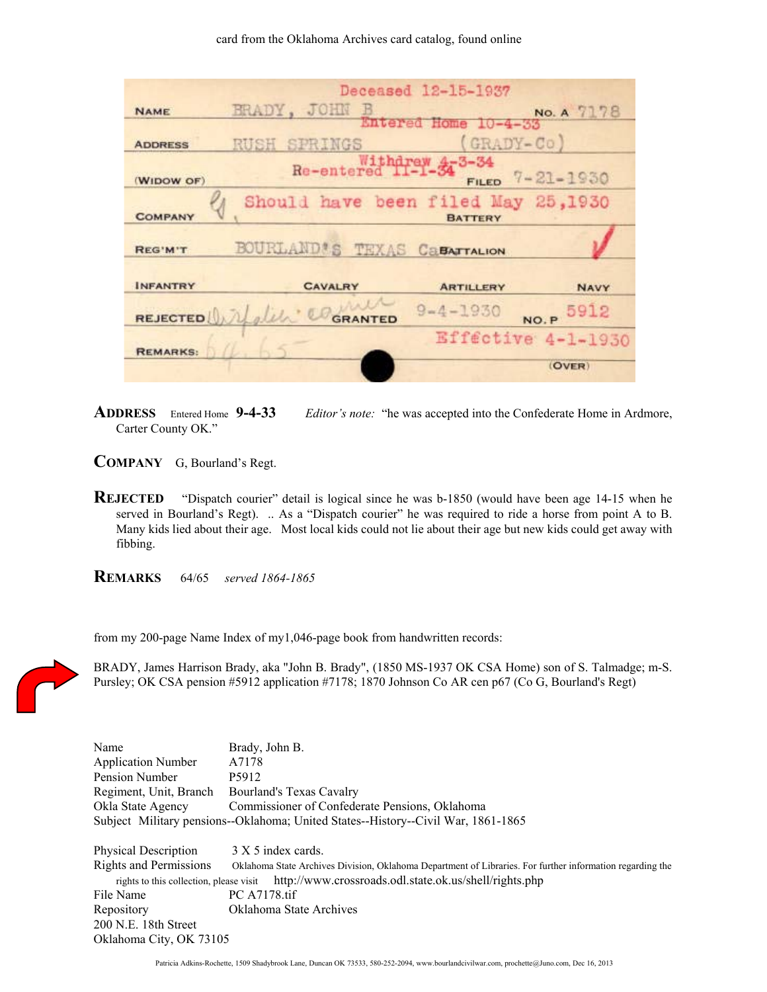## card from the Oklahoma Archives card catalog, found online

|                 |                                    | Deceased 12-15-1937  |                         |
|-----------------|------------------------------------|----------------------|-------------------------|
| <b>NAME</b>     | BRADY, JOHN<br>В                   |                      | No. A 7178              |
|                 |                                    | Entered Home 10-4-33 |                         |
| <b>ADDRESS</b>  | <b>RUSH SPRINGS</b>                | (GRADY-Co)           |                         |
| (WIDOW OF)      | Re-entered 11-1-34                 |                      | $FILED$ $7 - 21 - 1930$ |
| <b>COMPANY</b>  | Should have been filed May 25,1930 | <b>BATTERY</b>       |                         |
| REG'M'T         | BOURLANDAS TEXAS CAUNTALION        |                      |                         |
| <b>INFANTRY</b> | <b>CAVALRY</b>                     | <b>ARTILLERY</b>     | <b>NAVY</b>             |
|                 | REJECTED With COGRANTED            | $9 - 4 - 1930$       | NO. P 5912              |
| <b>REMARKS:</b> |                                    | Effective 4-1-1930   |                         |
|                 |                                    |                      | (OVER)                  |

**ADDRESS** Entered Home **9-4-33** *Editor's note:* "he was accepted into the Confederate Home in Ardmore, Carter County OK."

**COMPANY** G, Bourland's Regt.

**REJECTED** "Dispatch courier" detail is logical since he was b-1850 (would have been age 14-15 when he served in Bourland's Regt). .. As a "Dispatch courier" he was required to ride a horse from point A to B. Many kids lied about their age. Most local kids could not lie about their age but new kids could get away with fibbing.

**REMARKS** 64/65 *served 1864-1865*

from my 200-page Name Index of my1,046-page book from handwritten records:



BRADY, James Harrison Brady, aka "John B. Brady", (1850 MS-1937 OK CSA Home) son of S. Talmadge; m-S. Pursley; OK CSA pension #5912 application #7178; 1870 Johnson Co AR cen p67 (Co G, Bourland's Regt)

| Name                                                                              | Brady, John B.                                 |  |  |  |  |
|-----------------------------------------------------------------------------------|------------------------------------------------|--|--|--|--|
| <b>Application Number</b>                                                         | A7178                                          |  |  |  |  |
| Pension Number                                                                    | P <sub>5912</sub>                              |  |  |  |  |
| Regiment, Unit, Branch                                                            | Bourland's Texas Cavalry                       |  |  |  |  |
| Okla State Agency                                                                 | Commissioner of Confederate Pensions, Oklahoma |  |  |  |  |
| Subject Military pensions--Oklahoma; United States--History--Civil War, 1861-1865 |                                                |  |  |  |  |
|                                                                                   |                                                |  |  |  |  |

Physical Description 3 X 5 index cards. Rights and Permissions Oklahoma State Archives Division, Oklahoma Department of Libraries. For further information regarding the rights to this collection, please visit http://www.crossroads.odl.state.ok.us/shell/rights.php File Name PC A7178.tif Repository Oklahoma State Archives 200 N.E. 18th Street Oklahoma City, OK 73105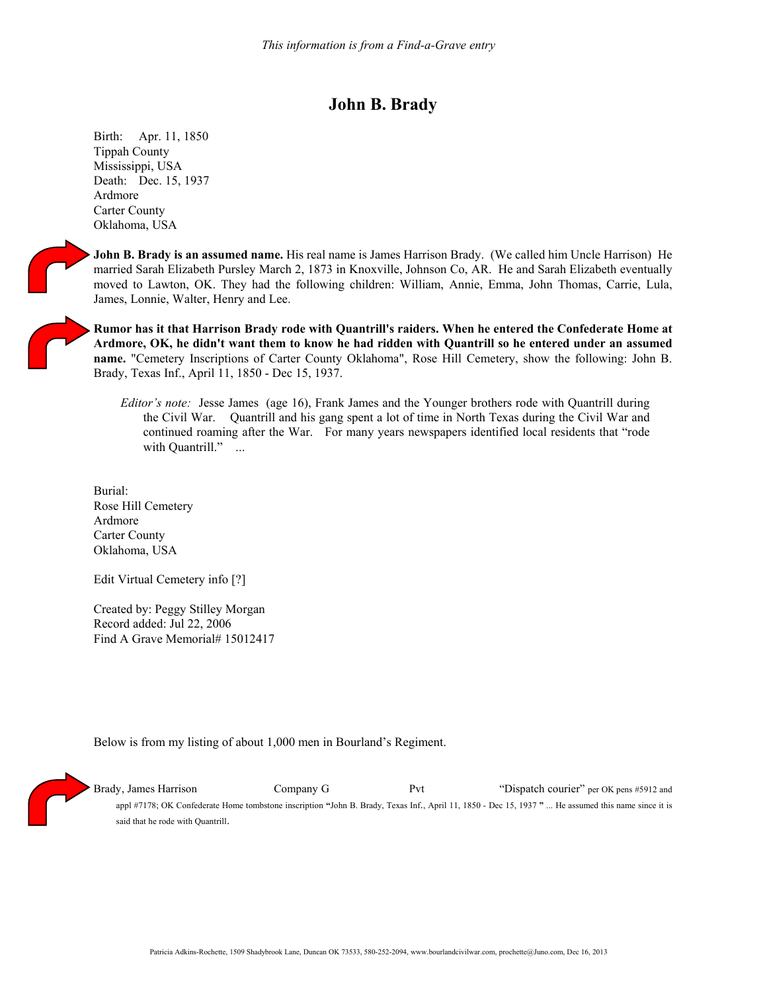## **John B. Brady**

Birth: Apr. 11, 1850 Tippah County Mississippi, USA Death: Dec. 15, 1937 Ardmore Carter County Oklahoma, USA



**John B. Brady is an assumed name.** His real name is James Harrison Brady. (We called him Uncle Harrison) He married Sarah Elizabeth Pursley March 2, 1873 in Knoxville, Johnson Co, AR. He and Sarah Elizabeth eventually moved to Lawton, OK. They had the following children: William, Annie, Emma, John Thomas, Carrie, Lula, James, Lonnie, Walter, Henry and Lee.

**Rumor has it that Harrison Brady rode with Quantrill's raiders. When he entered the Confederate Home at Ardmore, OK, he didn't want them to know he had ridden with Quantrill so he entered under an assumed name.** "Cemetery Inscriptions of Carter County Oklahoma", Rose Hill Cemetery, show the following: John B. Brady, Texas Inf., April 11, 1850 - Dec 15, 1937.

*Editor's note:* Jesse James (age 16), Frank James and the Younger brothers rode with Quantrill during the Civil War. Quantrill and his gang spent a lot of time in North Texas during the Civil War and continued roaming after the War. For many years newspapers identified local residents that "rode with Quantrill." ...

Burial: Rose Hill Cemetery Ardmore Carter County Oklahoma, USA

Edit Virtual Cemetery info [?]

Created by: Peggy Stilley Morgan Record added: Jul 22, 2006 Find A Grave Memorial# 15012417

Below is from my listing of about 1,000 men in Bourland's Regiment.